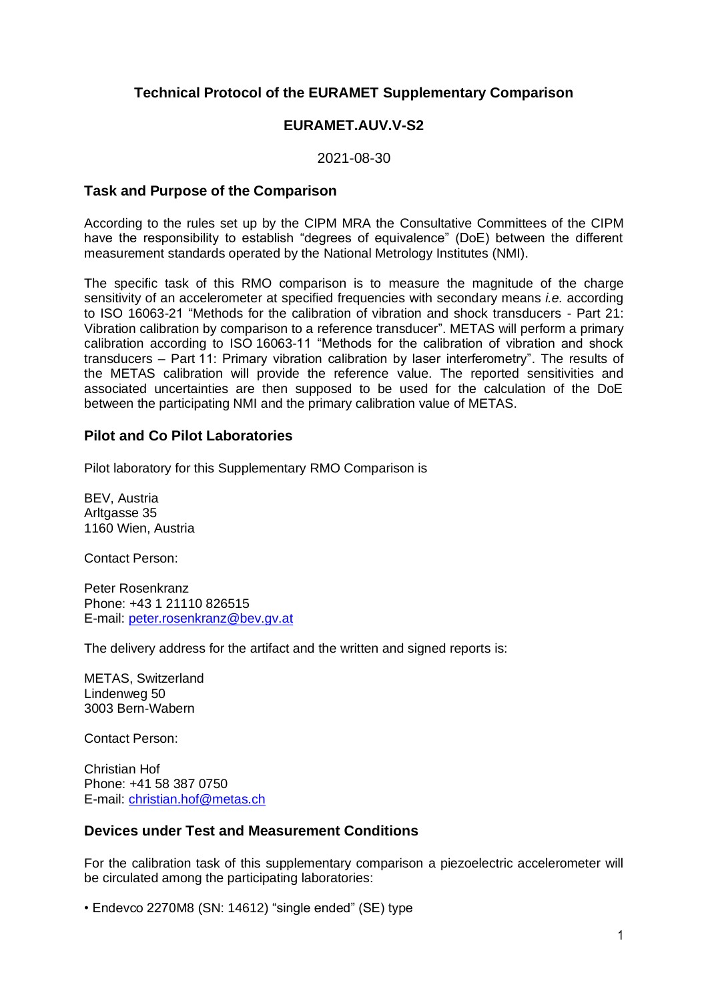## **Technical Protocol of the EURAMET Supplementary Comparison**

## **EURAMET.AUV.V-S2**

2021-08-30

### **Task and Purpose of the Comparison**

According to the rules set up by the CIPM MRA the Consultative Committees of the CIPM have the responsibility to establish "degrees of equivalence" (DoE) between the different measurement standards operated by the National Metrology Institutes (NMI).

The specific task of this RMO comparison is to measure the magnitude of the charge sensitivity of an accelerometer at specified frequencies with secondary means *i.e.* according to ISO 16063-21 "Methods for the calibration of vibration and shock transducers - Part 21: Vibration calibration by comparison to a reference transducer". METAS will perform a primary calibration according to ISO 16063-11 "Methods for the calibration of vibration and shock transducers – Part 11: Primary vibration calibration by laser interferometry". The results of the METAS calibration will provide the reference value. The reported sensitivities and associated uncertainties are then supposed to be used for the calculation of the DoE between the participating NMI and the primary calibration value of METAS.

## **Pilot and Co Pilot Laboratories**

Pilot laboratory for this Supplementary RMO Comparison is

BEV, Austria Arltgasse 35 1160 Wien, Austria

Contact Person:

Peter Rosenkranz Phone: +43 1 21110 826515 E-mail: peter.rosenkranz@bev.gv.at

The delivery address for the artifact and the written and signed reports is:

METAS, Switzerland Lindenweg 50 3003 Bern-Wabern

Contact Person:

Christian Hof Phone: +41 58 387 0750 E-mail: [christian.hof@metas.ch](mailto:christian.hof@metas.ch)

### **Devices under Test and Measurement Conditions**

For the calibration task of this supplementary comparison a piezoelectric accelerometer will be circulated among the participating laboratories:

• Endevco 2270M8 (SN: 14612) "single ended" (SE) type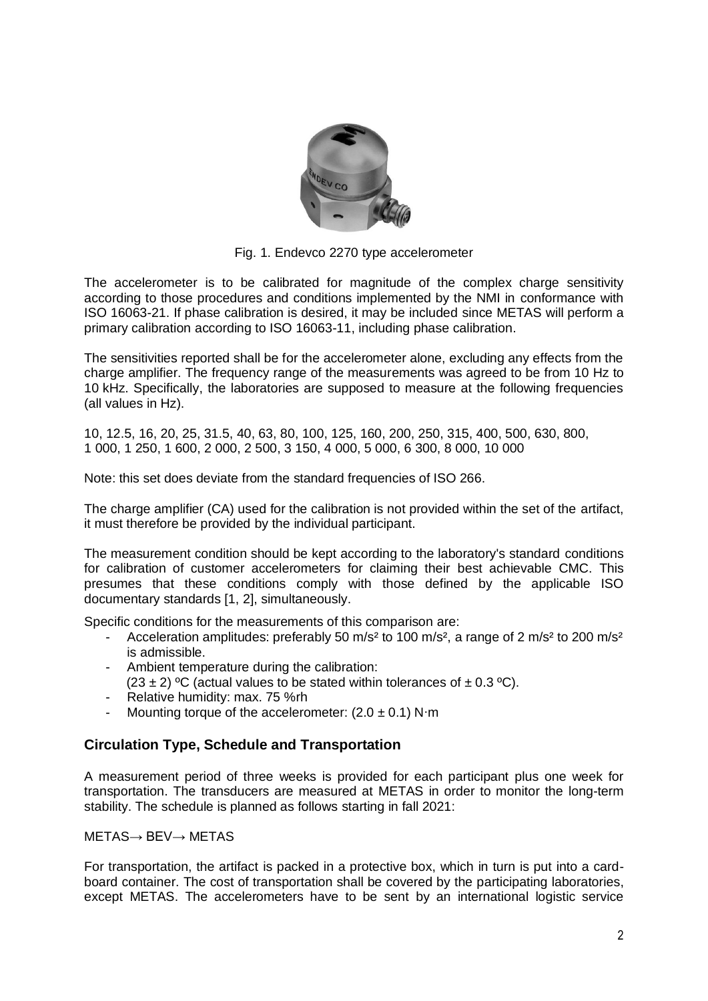

Fig. 1. Endevco 2270 type accelerometer

The accelerometer is to be calibrated for magnitude of the complex charge sensitivity according to those procedures and conditions implemented by the NMI in conformance with ISO 16063-21. If phase calibration is desired, it may be included since METAS will perform a primary calibration according to ISO 16063-11, including phase calibration.

The sensitivities reported shall be for the accelerometer alone, excluding any effects from the charge amplifier. The frequency range of the measurements was agreed to be from 10 Hz to 10 kHz. Specifically, the laboratories are supposed to measure at the following frequencies (all values in Hz).

10, 12.5, 16, 20, 25, 31.5, 40, 63, 80, 100, 125, 160, 200, 250, 315, 400, 500, 630, 800, 1 000, 1 250, 1 600, 2 000, 2 500, 3 150, 4 000, 5 000, 6 300, 8 000, 10 000

Note: this set does deviate from the standard frequencies of ISO 266.

The charge amplifier (CA) used for the calibration is not provided within the set of the artifact, it must therefore be provided by the individual participant.

The measurement condition should be kept according to the laboratory's standard conditions for calibration of customer accelerometers for claiming their best achievable CMC. This presumes that these conditions comply with those defined by the applicable ISO documentary standards [1, 2], simultaneously.

Specific conditions for the measurements of this comparison are:

- Acceleration amplitudes: preferably 50 m/s<sup>2</sup> to 100 m/s<sup>2</sup>, a range of 2 m/s<sup>2</sup> to 200 m/s<sup>2</sup> is admissible.
- Ambient temperature during the calibration:
- $(23 \pm 2)$  °C (actual values to be stated within tolerances of  $\pm 0.3$  °C).
- Relative humidity: max. 75 %rh
- Mounting torque of the accelerometer:  $(2.0 \pm 0.1)$  N⋅m

## **Circulation Type, Schedule and Transportation**

A measurement period of three weeks is provided for each participant plus one week for transportation. The transducers are measured at METAS in order to monitor the long-term stability. The schedule is planned as follows starting in fall 2021:

METAS→ BEV→ METAS

For transportation, the artifact is packed in a protective box, which in turn is put into a cardboard container. The cost of transportation shall be covered by the participating laboratories, except METAS. The accelerometers have to be sent by an international logistic service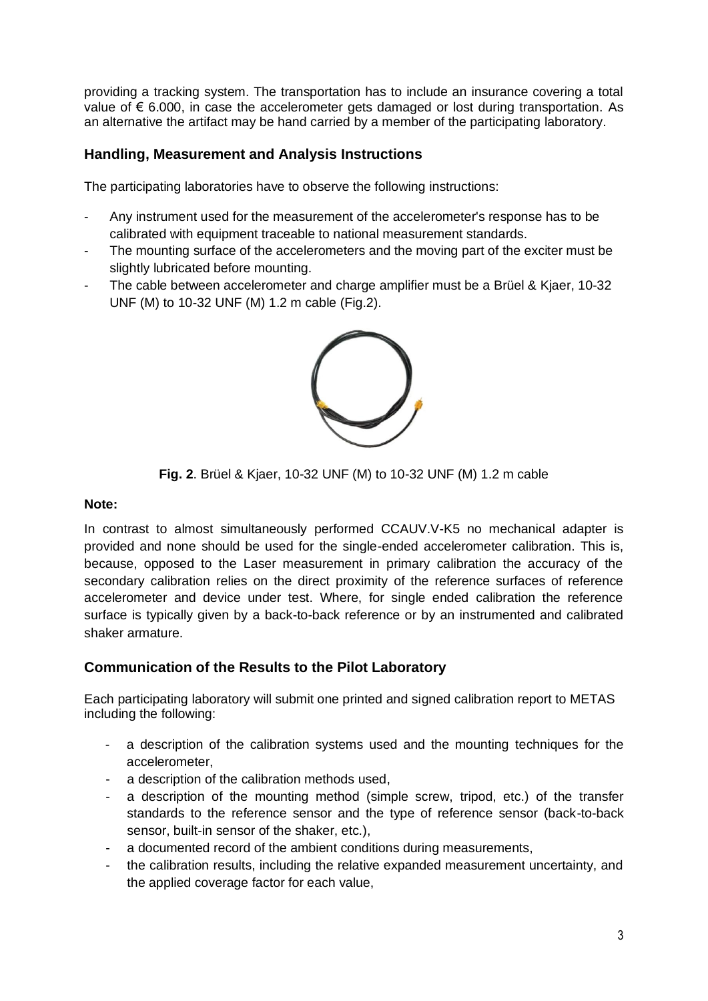providing a tracking system. The transportation has to include an insurance covering a total value of  $\epsilon$  6.000, in case the accelerometer gets damaged or lost during transportation. As an alternative the artifact may be hand carried by a member of the participating laboratory.

# **Handling, Measurement and Analysis Instructions**

The participating laboratories have to observe the following instructions:

- Any instrument used for the measurement of the accelerometer's response has to be calibrated with equipment traceable to national measurement standards.
- The mounting surface of the accelerometers and the moving part of the exciter must be slightly lubricated before mounting.
- The cable between accelerometer and charge amplifier must be a Brüel & Kjaer, 10-32 UNF (M) to 10-32 UNF (M) 1.2 m cable (Fig.2).



**Fig. 2**. Brüel & Kjaer, 10-32 UNF (M) to 10-32 UNF (M) 1.2 m cable

### **Note:**

In contrast to almost simultaneously performed CCAUV.V-K5 no mechanical adapter is provided and none should be used for the single-ended accelerometer calibration. This is, because, opposed to the Laser measurement in primary calibration the accuracy of the secondary calibration relies on the direct proximity of the reference surfaces of reference accelerometer and device under test. Where, for single ended calibration the reference surface is typically given by a back-to-back reference or by an instrumented and calibrated shaker armature.

# **Communication of the Results to the Pilot Laboratory**

Each participating laboratory will submit one printed and signed calibration report to METAS including the following:

- a description of the calibration systems used and the mounting techniques for the accelerometer,
- a description of the calibration methods used,
- a description of the mounting method (simple screw, tripod, etc.) of the transfer standards to the reference sensor and the type of reference sensor (back-to-back sensor, built-in sensor of the shaker, etc.),
- a documented record of the ambient conditions during measurements,
- the calibration results, including the relative expanded measurement uncertainty, and the applied coverage factor for each value,